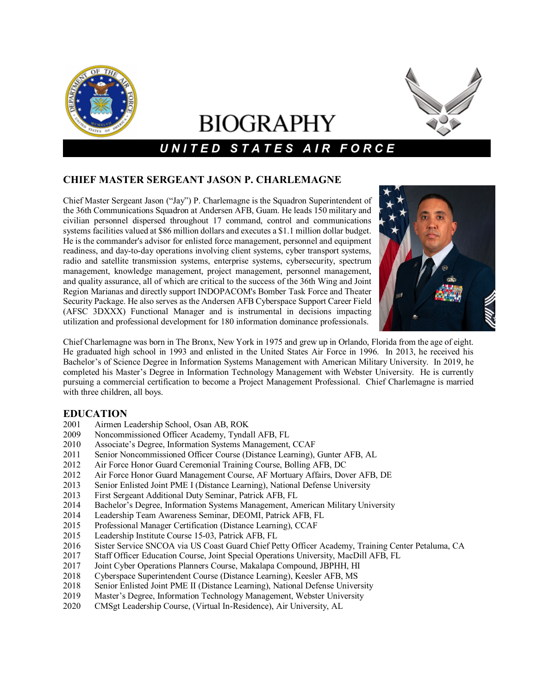

# **BIOGRAPHY**



# *U N I T E D S T A T E S A I R F O R C E*

## **CHIEF MASTER SERGEANT JASON P. CHARLEMAGNE**

Chief Master Sergeant Jason ("Jay") P. Charlemagne is the Squadron Superintendent of the 36th Communications Squadron at Andersen AFB, Guam. He leads 150 military and civilian personnel dispersed throughout 17 command, control and communications systems facilities valued at \$86 million dollars and executes a \$1.1 million dollar budget. He is the commander's advisor for enlisted force management, personnel and equipment readiness, and day-to-day operations involving client systems, cyber transport systems, radio and satellite transmission systems, enterprise systems, cybersecurity, spectrum management, knowledge management, project management, personnel management, and quality assurance, all of which are critical to the success of the 36th Wing and Joint Region Marianas and directly support INDOPACOM's Bomber Task Force and Theater Security Package. He also serves as the Andersen AFB Cyberspace Support Career Field (AFSC 3DXXX) Functional Manager and is instrumental in decisions impacting utilization and professional development for 180 information dominance professionals.



Chief Charlemagne was born in The Bronx, New York in 1975 and grew up in Orlando, Florida from the age of eight. He graduated high school in 1993 and enlisted in the United States Air Force in 1996. In 2013, he received his Bachelor's of Science Degree in Information Systems Management with American Military University. In 2019, he completed his Master's Degree in Information Technology Management with Webster University. He is currently pursuing a commercial certification to become a Project Management Professional. Chief Charlemagne is married with three children, all boys.

## **EDUCATION**

- 2001 Airmen Leadership School, Osan AB, ROK
- 2009 Noncommissioned Officer Academy, Tyndall AFB, FL
- 2010 Associate's Degree, Information Systems Management, CCAF<br>2011 Senior Noncommissioned Officer Course (Distance Learning),
- Senior Noncommissioned Officer Course (Distance Learning), Gunter AFB, AL
- 2012 Air Force Honor Guard Ceremonial Training Course, Bolling AFB, DC
- 2012 Air Force Honor Guard Management Course, AF Mortuary Affairs, Dover AFB, DE
- 2013 Senior Enlisted Joint PME I (Distance Learning), National Defense University
- 2013 First Sergeant Additional Duty Seminar, Patrick AFB, FL
- 2014 Bachelor's Degree, Information Systems Management, American Military University
- 2014 Leadership Team Awareness Seminar, DEOMI, Patrick AFB, FL
- 2015 Professional Manager Certification (Distance Learning), CCAF
- 2015 Leadership Institute Course 15-03, Patrick AFB, FL
- 2016 Sister Service SNCOA via US Coast Guard Chief Petty Officer Academy, Training Center Petaluma, CA
- 2017 Staff Officer Education Course, Joint Special Operations University, MacDill AFB, FL
- 2017 Joint Cyber Operations Planners Course, Makalapa Compound, JBPHH, HI<br>2018 Cyberspace Superintendent Course (Distance Learning), Keesler AFB, MS
- 2018 Cyberspace Superintendent Course (Distance Learning), Keesler AFB, MS
- 2018 Senior Enlisted Joint PME II (Distance Learning), National Defense University
- 2019 Master's Degree, Information Technology Management, Webster University<br>2020 CMSgt Leadership Course. (Virtual In-Residence). Air University. AL
- 2020 CMSgt Leadership Course, (Virtual In-Residence), Air University, AL